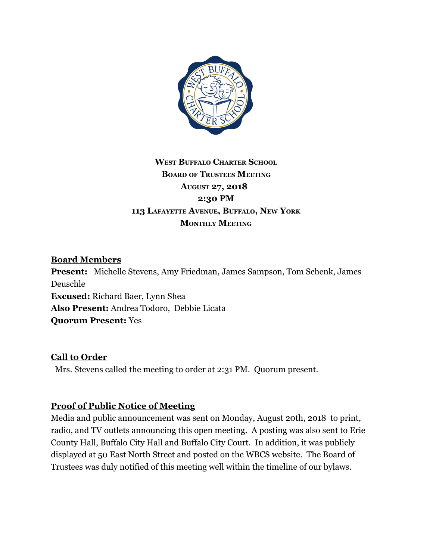

## **WEST BUFFALO CHARTER SCHOOL BOARD OF TRUSTEES MEETING AUGUST 27, 2018 2:30 PM 113 LAFAYETTE AVENUE, BUFFALO, NEW YORK MONTHLY MEETING**

#### **Board Members**

**Present:** Michelle Stevens, Amy Friedman, James Sampson, Tom Schenk, James Deuschle **Excused:** Richard Baer, Lynn Shea **Also Present:** Andrea Todoro, Debbie Licata **Quorum Present:** Yes

### **Call to Order**

Mrs. Stevens called the meeting to order at 2:31 PM. Quorum present.

### **Proof of Public Notice of Meeting**

Media and public announcement was sent on Monday, August 20th, 2018 to print, radio, and TV outlets announcing this open meeting. A posting was also sent to Erie County Hall, Buffalo City Hall and Buffalo City Court. In addition, it was publicly displayed at 50 East North Street and posted on the WBCS website. The Board of Trustees was duly notified of this meeting well within the timeline of our bylaws.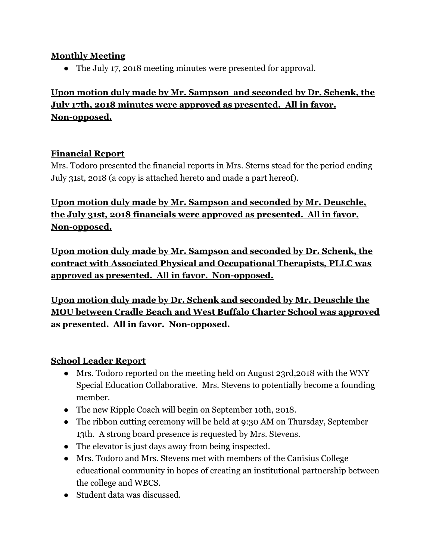### **Monthly Meeting**

• The July 17, 2018 meeting minutes were presented for approval.

# **Upon motion duly made by Mr. Sampson and seconded by Dr. Schenk, the July 17th, 2018 minutes were approved as presented. All in favor. Non-opposed.**

### **Financial Report**

Mrs. Todoro presented the financial reports in Mrs. Sterns stead for the period ending July 31st, 2018 (a copy is attached hereto and made a part hereof).

**Upon motion duly made by Mr. Sampson and seconded by Mr. Deuschle, the July 31st, 2018 financials were approved as presented. All in favor. Non-opposed.**

**Upon motion duly made by Mr. Sampson and seconded by Dr. Schenk, the contract with Associated Physical and Occupational Therapists, PLLC was approved as presented. All in favor. Non-opposed.**

**Upon motion duly made by Dr. Schenk and seconded by Mr. Deuschle the MOU between Cradle Beach and West Buffalo Charter School was approved as presented. All in favor. Non-opposed.**

### **School Leader Report**

- Mrs. Todoro reported on the meeting held on August 23rd,2018 with the WNY Special Education Collaborative. Mrs. Stevens to potentially become a founding member.
- The new Ripple Coach will begin on September 10th, 2018.
- The ribbon cutting ceremony will be held at 9:30 AM on Thursday, September 13th. A strong board presence is requested by Mrs. Stevens.
- The elevator is just days away from being inspected.
- Mrs. Todoro and Mrs. Stevens met with members of the Canisius College educational community in hopes of creating an institutional partnership between the college and WBCS.
- Student data was discussed.